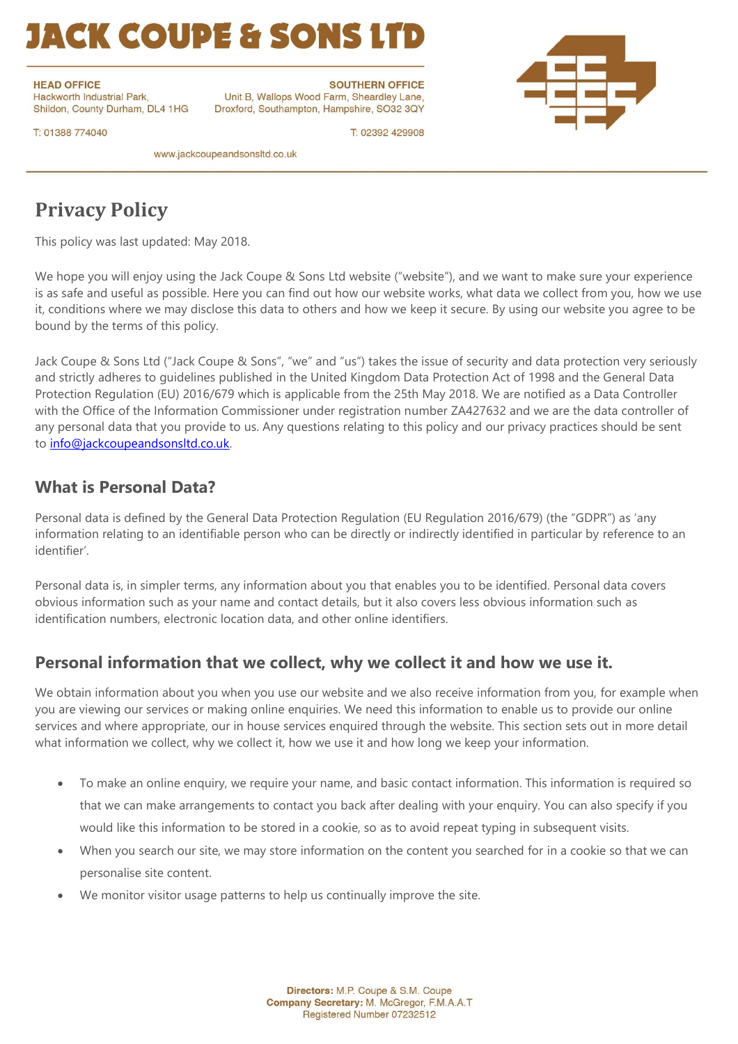# **IACK COUPE & SONS LTD**

**HEAD OFFICE** Hackworth Industrial Park, Shildon, County Durham, DL4 1HG

**SOUTHERN OFFICE** Unit B, Wallops Wood Farm, Sheardley Lane, Droxford, Southampton, Hampshire, SO32 3QY



T: 01388 774040

www.jackcoupeandsonsltd.co.uk

### **Privacy Policy**

This policy was last updated: May 2018.

We hope you will enjoy using the Jack Coupe & Sons Ltd website ("website"), and we want to make sure your experience is as safe and useful as possible. Here you can find out how our website works, what data we collect from you, how we use it, conditions where we may disclose this data to others and how we keep it secure. By using our website you agree to be bound by the terms of this policy.

T: 02392 429908

Jack Coupe & Sons Ltd ("Jack Coupe & Sons", "we" and "us") takes the issue of security and data protection very seriously and strictly adheres to guidelines published in the United Kingdom Data Protection Act of 1998 and the General Data Protection Regulation (EU) 2016/679 which is applicable from the 25th May 2018. We are notified as a Data Controller with the Office of the Information Commissioner under registration number ZA427632 and we are the data controller of any personal data that you provide to us. Any questions relating to this policy and our privacy practices should be sent to [info@jackcoupeandsonsltd.co.uk.](mailto:info@jackcoupeandsonsltd.co.uk)

#### **What is Personal Data?**

Personal data is defined by the General Data Protection Regulation (EU Regulation 2016/679) (the "GDPR") as 'any information relating to an identifiable person who can be directly or indirectly identified in particular by reference to an identifier'.

Personal data is, in simpler terms, any information about you that enables you to be identified. Personal data covers obvious information such as your name and contact details, but it also covers less obvious information such as identification numbers, electronic location data, and other online identifiers.

#### **Personal information that we collect, why we collect it and how we use it.**

We obtain information about you when you use our website and we also receive information from you, for example when you are viewing our services or making online enquiries. We need this information to enable us to provide our online services and where appropriate, our in house services enquired through the website. This section sets out in more detail what information we collect, why we collect it, how we use it and how long we keep your information.

- To make an online enquiry, we require your name, and basic contact information. This information is required so that we can make arrangements to contact you back after dealing with your enquiry. You can also specify if you would like this information to be stored in a cookie, so as to avoid repeat typing in subsequent visits.
- When you search our site, we may store information on the content you searched for in a cookie so that we can personalise site content.
- We monitor visitor usage patterns to help us continually improve the site.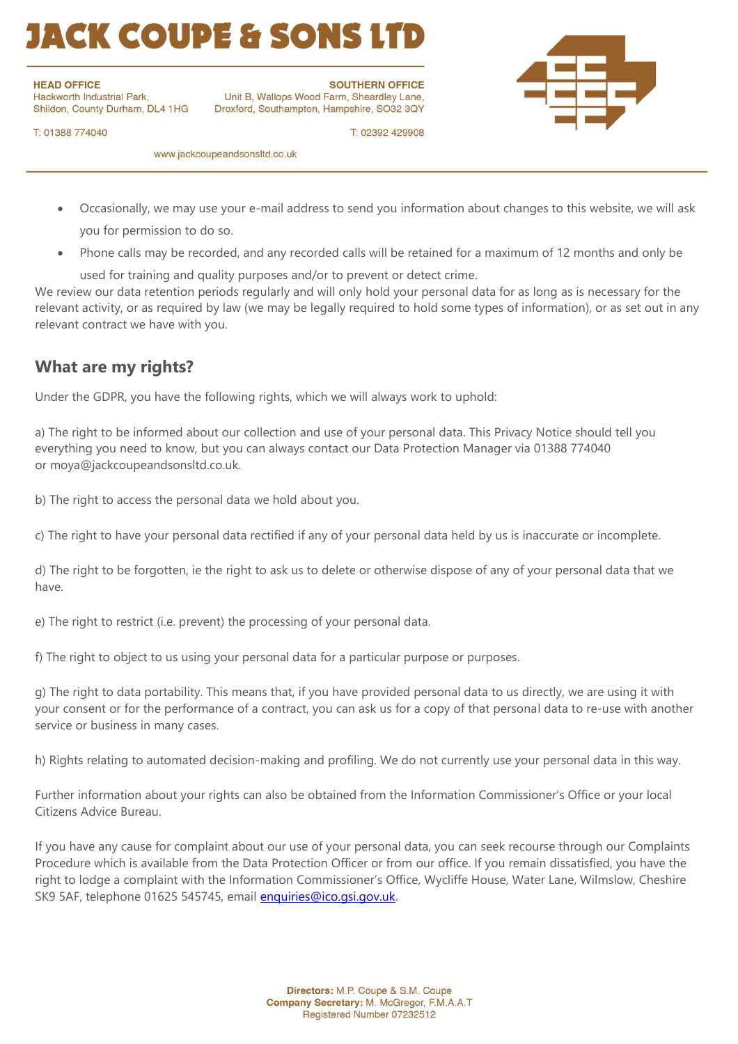# **ACK COUPE & SONS**

**HEAD OFFICE** 

Hackworth Industrial Park, Shildon, County Durham, DL4 1HG

**SOUTHERN OFFICE** Unit B, Wallops Wood Farm, Sheardley Lane, Droxford, Southampton, Hampshire, SO32 3QY



T: 01388 774040

www.jackcoupeandsonsltd.co.uk

• Occasionally, we may use your e-mail address to send you information about changes to this website, we will ask you for permission to do so.

T: 02392 429908

• Phone calls may be recorded, and any recorded calls will be retained for a maximum of 12 months and only be

used for training and quality purposes and/or to prevent or detect crime.

We review our data retention periods regularly and will only hold your personal data for as long as is necessary for the relevant activity, or as required by law (we may be legally required to hold some types of information), or as set out in any relevant contract we have with you.

### **What are my rights?**

Under the GDPR, you have the following rights, which we will always work to uphold:

a) The right to be informed about our collection and use of your personal data. This Privacy Notice should tell you everything you need to know, but you can always contact our Data Protection Manager via 01388 774040 or moya@jackcoupeandsonsltd.co.uk.

b) The right to access the personal data we hold about you.

c) The right to have your personal data rectified if any of your personal data held by us is inaccurate or incomplete.

d) The right to be forgotten, ie the right to ask us to delete or otherwise dispose of any of your personal data that we have.

e) The right to restrict (i.e. prevent) the processing of your personal data.

f) The right to object to us using your personal data for a particular purpose or purposes.

g) The right to data portability. This means that, if you have provided personal data to us directly, we are using it with your consent or for the performance of a contract, you can ask us for a copy of that personal data to re-use with another service or business in many cases.

h) Rights relating to automated decision-making and profiling. We do not currently use your personal data in this way.

Further information about your rights can also be obtained from the Information Commissioner's Office or your local Citizens Advice Bureau.

If you have any cause for complaint about our use of your personal data, you can seek recourse through our Complaints Procedure which is available from the Data Protection Officer or from our office. If you remain dissatisfied, you have the right to lodge a complaint with the Information Commissioner's Office, Wycliffe House, Water Lane, Wilmslow, Cheshire SK9 5AF, telephone 01625 545745, email [enquiries@ico.gsi.gov.uk.](mailto:enquiries@ico.gsi.gov.uk)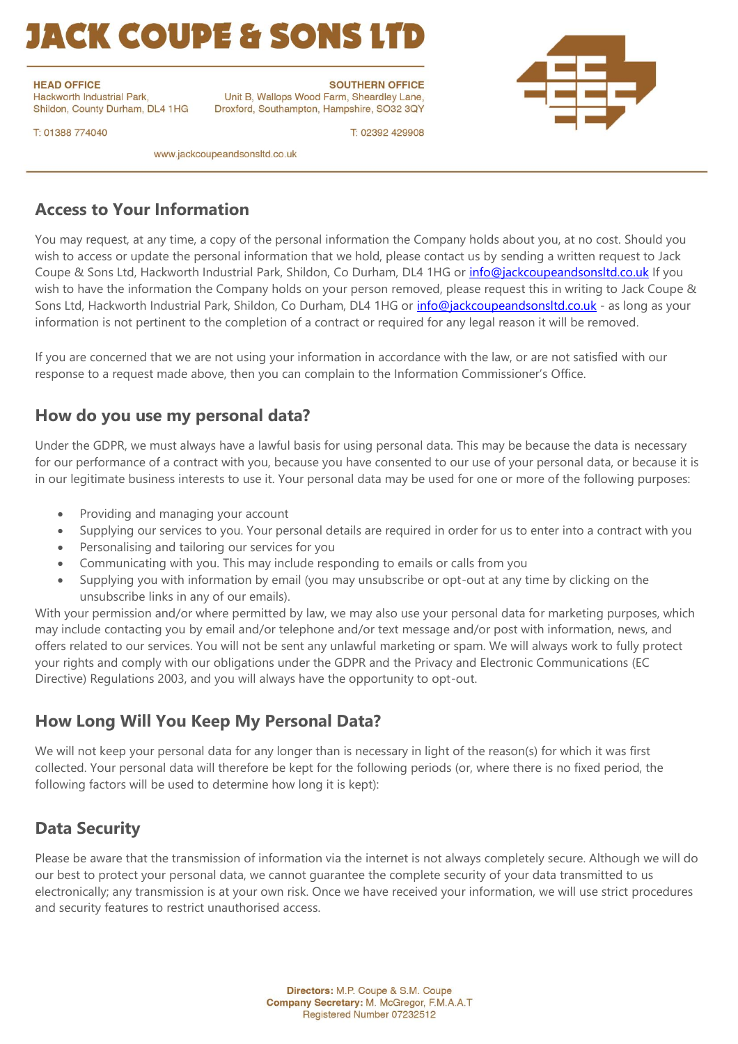# **IACK COUPE & SONS LTD**

**HEAD OFFICE** Hackworth Industrial Park,

Shildon, County Durham, DL4 1HG

**SOUTHERN OFFICE** Unit B, Wallops Wood Farm, Sheardley Lane, Droxford, Southampton, Hampshire, SO32 3QY



T: 01388 774040

www.jackcoupeandsonsltd.co.uk

#### **Access to Your Information**

You may request, at any time, a copy of the personal information the Company holds about you, at no cost. Should you wish to access or update the personal information that we hold, please contact us by sending a written request to Jack Coupe & Sons Ltd, Hackworth Industrial Park, Shildon, Co Durham, DL4 1HG or *info@jackcoupeandsonsltd.co.uk* If you wish to have the information the Company holds on your person removed, please request this in writing to Jack Coupe & Sons Ltd, Hackworth Industrial Park, Shildon, Co Durham, DL4 1HG or [info@jackcoupeandsonsltd.co.uk](mailto:info@jackcoupeandsonsltd.co.uk) - as long as your information is not pertinent to the completion of a contract or required for any legal reason it will be removed.

T: 02392 429908

If you are concerned that we are not using your information in accordance with the law, or are not satisfied with our response to a request made above, then you can complain to the Information Commissioner's Office.

#### **How do you use my personal data?**

Under the GDPR, we must always have a lawful basis for using personal data. This may be because the data is necessary for our performance of a contract with you, because you have consented to our use of your personal data, or because it is in our legitimate business interests to use it. Your personal data may be used for one or more of the following purposes:

- Providing and managing your account
- Supplying our services to you. Your personal details are required in order for us to enter into a contract with you
- Personalising and tailoring our services for you
- Communicating with you. This may include responding to emails or calls from you
- Supplying you with information by email (you may unsubscribe or opt-out at any time by clicking on the unsubscribe links in any of our emails).

With your permission and/or where permitted by law, we may also use your personal data for marketing purposes, which may include contacting you by email and/or telephone and/or text message and/or post with information, news, and offers related to our services. You will not be sent any unlawful marketing or spam. We will always work to fully protect your rights and comply with our obligations under the GDPR and the Privacy and Electronic Communications (EC Directive) Regulations 2003, and you will always have the opportunity to opt-out.

### **How Long Will You Keep My Personal Data?**

We will not keep your personal data for any longer than is necessary in light of the reason(s) for which it was first collected. Your personal data will therefore be kept for the following periods (or, where there is no fixed period, the following factors will be used to determine how long it is kept):

#### **Data Security**

Please be aware that the transmission of information via the internet is not always completely secure. Although we will do our best to protect your personal data, we cannot guarantee the complete security of your data transmitted to us electronically; any transmission is at your own risk. Once we have received your information, we will use strict procedures and security features to restrict unauthorised access.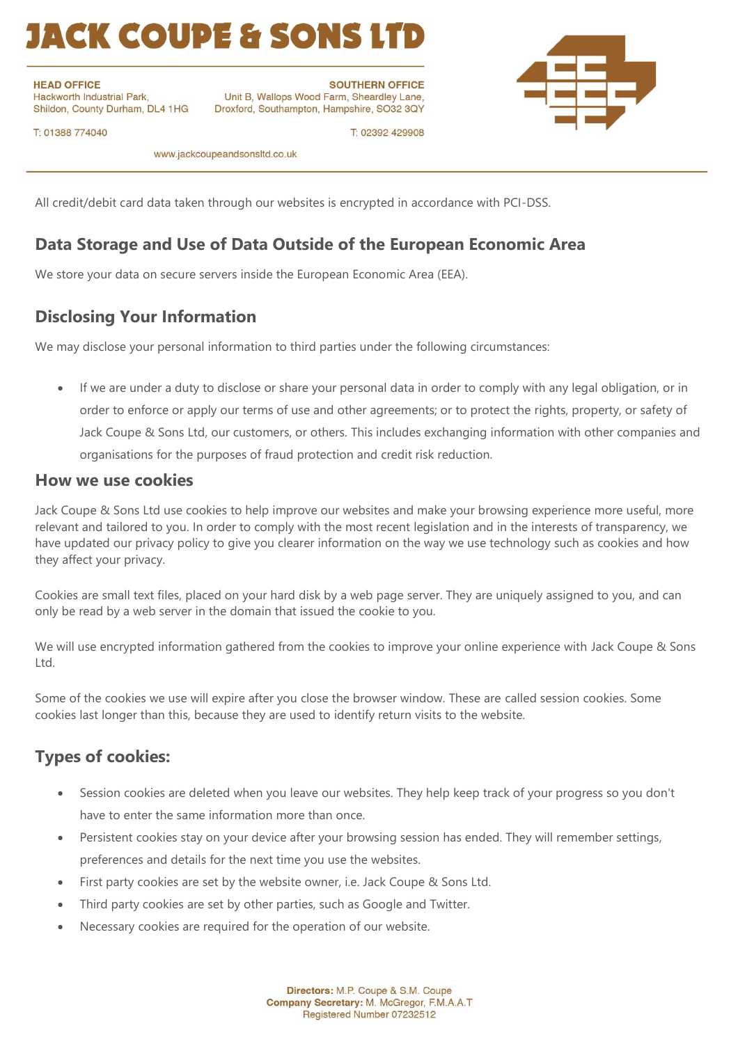# **IACK COUPE & SONS L'**

**HEAD OFFICE** Hackworth Industrial Park, Shildon, County Durham, DL4 1HG

**SOUTHERN OFFICE** Unit B, Wallops Wood Farm, Sheardley Lane, Droxford, Southampton, Hampshire, SO32 3QY



T: 01388 774040

www.jackcoupeandsonsltd.co.uk

All credit/debit card data taken through our websites is encrypted in accordance with PCI-DSS.

### **Data Storage and Use of Data Outside of the European Economic Area**

We store your data on secure servers inside the European Economic Area (EEA).

#### **Disclosing Your Information**

We may disclose your personal information to third parties under the following circumstances:

• If we are under a duty to disclose or share your personal data in order to comply with any legal obligation, or in order to enforce or apply our terms of use and other agreements; or to protect the rights, property, or safety of Jack Coupe & Sons Ltd, our customers, or others. This includes exchanging information with other companies and organisations for the purposes of fraud protection and credit risk reduction.

T: 02392 429908

#### **How we use cookies**

Jack Coupe & Sons Ltd use cookies to help improve our websites and make your browsing experience more useful, more relevant and tailored to you. In order to comply with the most recent legislation and in the interests of transparency, we have updated our privacy policy to give you clearer information on the way we use technology such as cookies and how they affect your privacy.

Cookies are small text files, placed on your hard disk by a web page server. They are uniquely assigned to you, and can only be read by a web server in the domain that issued the cookie to you.

We will use encrypted information gathered from the cookies to improve your online experience with Jack Coupe & Sons Ltd.

Some of the cookies we use will expire after you close the browser window. These are called session cookies. Some cookies last longer than this, because they are used to identify return visits to the website.

#### **Types of cookies:**

- Session cookies are deleted when you leave our websites. They help keep track of your progress so you don't have to enter the same information more than once.
- Persistent cookies stay on your device after your browsing session has ended. They will remember settings, preferences and details for the next time you use the websites.
- First party cookies are set by the website owner, i.e. Jack Coupe & Sons Ltd.
- Third party cookies are set by other parties, such as Google and Twitter.
- Necessary cookies are required for the operation of our website.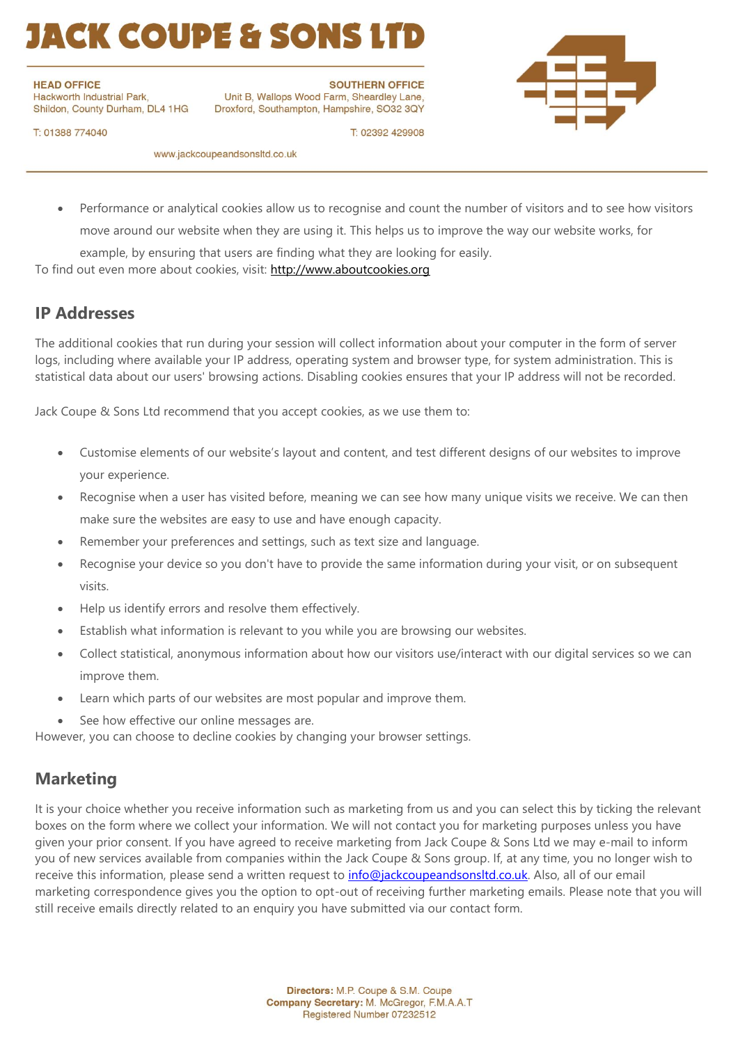# **ACK COUPE & SONS LT**

**HEAD OFFICE** 

Hackworth Industrial Park, Shildon, County Durham, DL4 1HG

**SOUTHERN OFFICE** Unit B, Wallops Wood Farm, Sheardley Lane, Droxford, Southampton, Hampshire, SO32 3QY



T: 01388 774040

www.jackcoupeandsonsltd.co.uk

• Performance or analytical cookies allow us to recognise and count the number of visitors and to see how visitors move around our website when they are using it. This helps us to improve the way our website works, for

T: 02392 429908

example, by ensuring that users are finding what they are looking for easily.

To find out even more about cookies, visit: [http://www.aboutcookies.org](http://www.aboutcookies.org/)

#### **IP Addresses**

The additional cookies that run during your session will collect information about your computer in the form of server logs, including where available your IP address, operating system and browser type, for system administration. This is statistical data about our users' browsing actions. Disabling cookies ensures that your IP address will not be recorded.

Jack Coupe & Sons Ltd recommend that you accept cookies, as we use them to:

- Customise elements of our website's layout and content, and test different designs of our websites to improve your experience.
- Recognise when a user has visited before, meaning we can see how many unique visits we receive. We can then make sure the websites are easy to use and have enough capacity.
- Remember your preferences and settings, such as text size and language.
- Recognise your device so you don't have to provide the same information during your visit, or on subsequent visits.
- Help us identify errors and resolve them effectively.
- Establish what information is relevant to you while you are browsing our websites.
- Collect statistical, anonymous information about how our visitors use/interact with our digital services so we can improve them.
- Learn which parts of our websites are most popular and improve them.
- See how effective our online messages are.

However, you can choose to decline cookies by changing your browser settings.

#### **Marketing**

It is your choice whether you receive information such as marketing from us and you can select this by ticking the relevant boxes on the form where we collect your information. We will not contact you for marketing purposes unless you have given your prior consent. If you have agreed to receive marketing from Jack Coupe & Sons Ltd we may e-mail to inform you of new services available from companies within the Jack Coupe & Sons group. If, at any time, you no longer wish to receive this information, please send a written request to info@jackcoupeandsonsItd.co.uk. Also, all of our email marketing correspondence gives you the option to opt-out of receiving further marketing emails. Please note that you will still receive emails directly related to an enquiry you have submitted via our contact form.